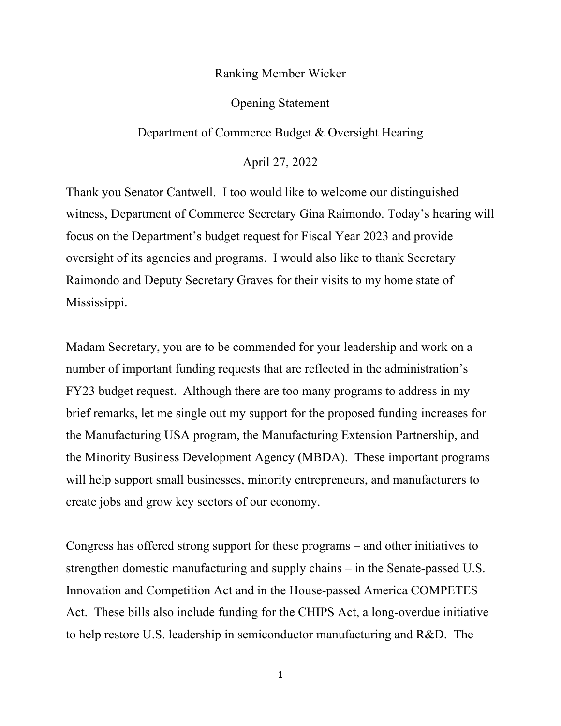## Ranking Member Wicker

## Opening Statement

## Department of Commerce Budget & Oversight Hearing

April 27, 2022

Thank you Senator Cantwell. I too would like to welcome our distinguished witness, Department of Commerce Secretary Gina Raimondo. Today's hearing will focus on the Department's budget request for Fiscal Year 2023 and provide oversight of its agencies and programs. I would also like to thank Secretary Raimondo and Deputy Secretary Graves for their visits to my home state of Mississippi.

Madam Secretary, you are to be commended for your leadership and work on a number of important funding requests that are reflected in the administration's FY23 budget request. Although there are too many programs to address in my brief remarks, let me single out my support for the proposed funding increases for the Manufacturing USA program, the Manufacturing Extension Partnership, and the Minority Business Development Agency (MBDA). These important programs will help support small businesses, minority entrepreneurs, and manufacturers to create jobs and grow key sectors of our economy.

Congress has offered strong support for these programs – and other initiatives to strengthen domestic manufacturing and supply chains – in the Senate-passed U.S. Innovation and Competition Act and in the House-passed America COMPETES Act. These bills also include funding for the CHIPS Act, a long-overdue initiative to help restore U.S. leadership in semiconductor manufacturing and R&D. The

1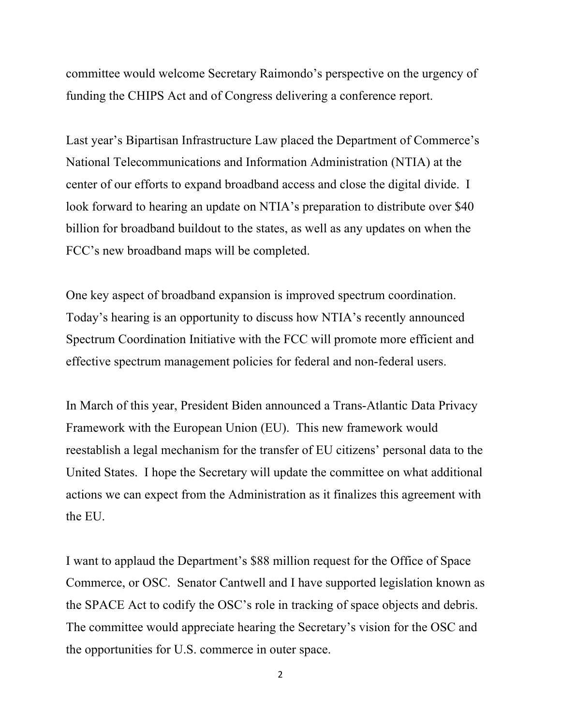committee would welcome Secretary Raimondo's perspective on the urgency of funding the CHIPS Act and of Congress delivering a conference report.

Last year's Bipartisan Infrastructure Law placed the Department of Commerce's National Telecommunications and Information Administration (NTIA) at the center of our efforts to expand broadband access and close the digital divide. I look forward to hearing an update on NTIA's preparation to distribute over \$40 billion for broadband buildout to the states, as well as any updates on when the FCC's new broadband maps will be completed.

One key aspect of broadband expansion is improved spectrum coordination. Today's hearing is an opportunity to discuss how NTIA's recently announced Spectrum Coordination Initiative with the FCC will promote more efficient and effective spectrum management policies for federal and non-federal users.

In March of this year, President Biden announced a Trans-Atlantic Data Privacy Framework with the European Union (EU). This new framework would reestablish a legal mechanism for the transfer of EU citizens' personal data to the United States. I hope the Secretary will update the committee on what additional actions we can expect from the Administration as it finalizes this agreement with the EU.

I want to applaud the Department's \$88 million request for the Office of Space Commerce, or OSC. Senator Cantwell and I have supported legislation known as the SPACE Act to codify the OSC's role in tracking of space objects and debris. The committee would appreciate hearing the Secretary's vision for the OSC and the opportunities for U.S. commerce in outer space.

2